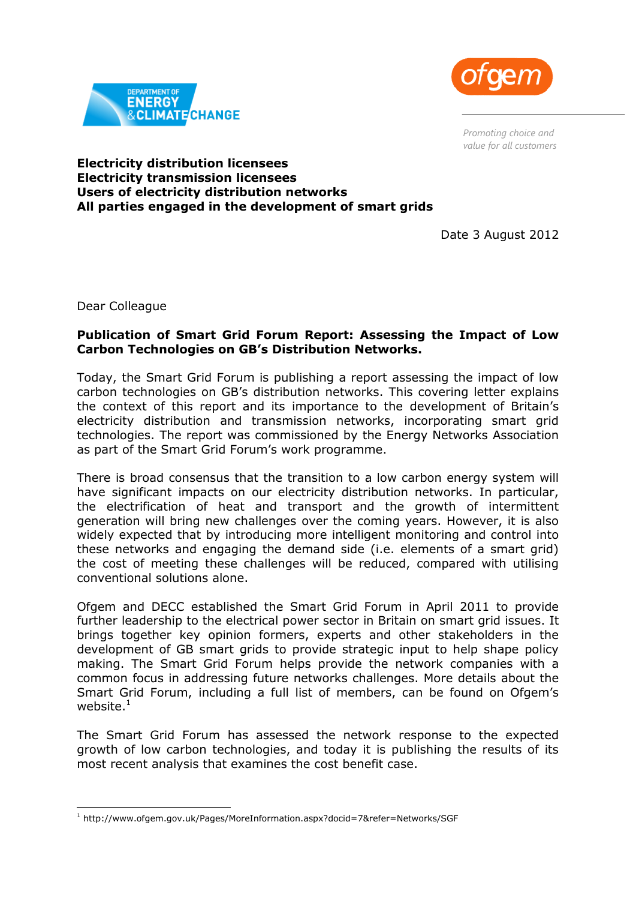

*Promoting choice and value for all customers*



## **Electricity distribution licensees Electricity transmission licensees Users of electricity distribution networks All parties engaged in the development of smart grids**

Date 3 August 2012

Dear Colleague

-

## **Publication of Smart Grid Forum Report: Assessing the Impact of Low Carbon Technologies on GB's Distribution Networks.**

Today, the Smart Grid Forum is publishing a report assessing the impact of low carbon technologies on GB's distribution networks. This covering letter explains the context of this report and its importance to the development of Britain's electricity distribution and transmission networks, incorporating smart grid technologies. The report was commissioned by the Energy Networks Association as part of the Smart Grid Forum's work programme.

There is broad consensus that the transition to a low carbon energy system will have significant impacts on our electricity distribution networks. In particular, the electrification of heat and transport and the growth of intermittent generation will bring new challenges over the coming years. However, it is also widely expected that by introducing more intelligent monitoring and control into these networks and engaging the demand side (i.e. elements of a smart grid) the cost of meeting these challenges will be reduced, compared with utilising conventional solutions alone.

Ofgem and DECC established the Smart Grid Forum in April 2011 to provide further leadership to the electrical power sector in Britain on smart grid issues. It brings together key opinion formers, experts and other stakeholders in the development of GB smart grids to provide strategic input to help shape policy making. The Smart Grid Forum helps provide the network companies with a common focus in addressing future networks challenges. More details about the Smart Grid Forum, including a full list of members, can be found on Ofgem's website. $1$ 

The Smart Grid Forum has assessed the network response to the expected growth of low carbon technologies, and today it is publishing the results of its most recent analysis that examines the cost benefit case.

<sup>1</sup> http://www.ofgem.gov.uk/Pages/MoreInformation.aspx?docid=7&refer=Networks/SGF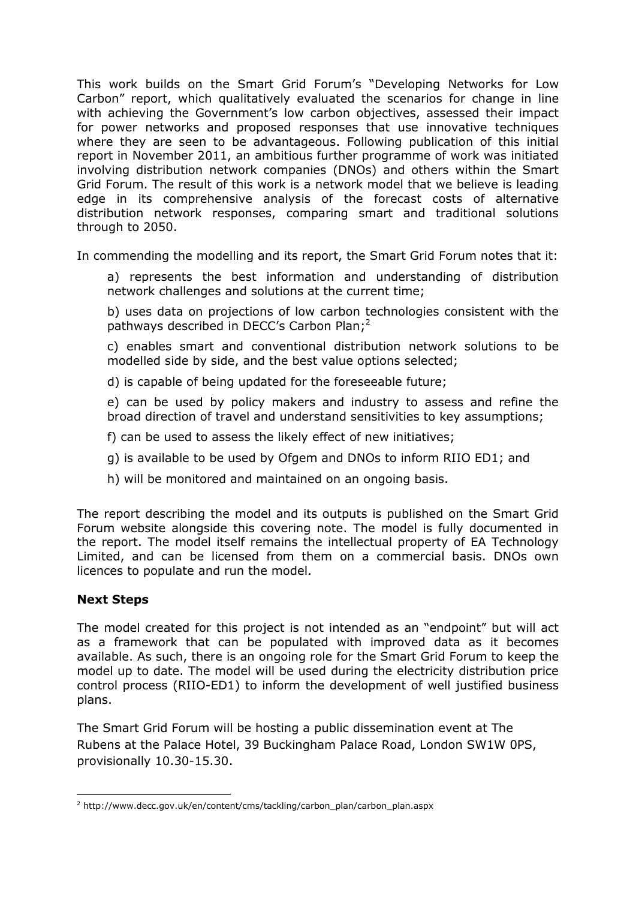This work builds on the Smart Grid Forum's "Developing Networks for Low Carbon" report, which qualitatively evaluated the scenarios for change in line with achieving the Government's low carbon objectives, assessed their impact for power networks and proposed responses that use innovative techniques where they are seen to be advantageous. Following publication of this initial report in November 2011, an ambitious further programme of work was initiated involving distribution network companies (DNOs) and others within the Smart Grid Forum. The result of this work is a network model that we believe is leading edge in its comprehensive analysis of the forecast costs of alternative distribution network responses, comparing smart and traditional solutions through to 2050.

In commending the modelling and its report, the Smart Grid Forum notes that it:

a) represents the best information and understanding of distribution network challenges and solutions at the current time;

b) uses data on projections of low carbon technologies consistent with the pathways described in DECC's Carbon Plan;<sup>2</sup>

c) enables smart and conventional distribution network solutions to be modelled side by side, and the best value options selected;

d) is capable of being updated for the foreseeable future;

e) can be used by policy makers and industry to assess and refine the broad direction of travel and understand sensitivities to key assumptions;

f) can be used to assess the likely effect of new initiatives;

- g) is available to be used by Ofgem and DNOs to inform RIIO ED1; and
- h) will be monitored and maintained on an ongoing basis.

The report describing the model and its outputs is published on the Smart Grid Forum website alongside this covering note. The model is fully documented in the report. The model itself remains the intellectual property of EA Technology Limited, and can be licensed from them on a commercial basis. DNOs own licences to populate and run the model.

## **Next Steps**

-

The model created for this project is not intended as an "endpoint" but will act as a framework that can be populated with improved data as it becomes available. As such, there is an ongoing role for the Smart Grid Forum to keep the model up to date. The model will be used during the electricity distribution price control process (RIIO-ED1) to inform the development of well justified business plans.

The Smart Grid Forum will be hosting a public dissemination event at The Rubens at the Palace Hotel, 39 Buckingham Palace Road, London SW1W 0PS, provisionally 10.30-15.30.

<sup>2</sup> http://www.decc.gov.uk/en/content/cms/tackling/carbon\_plan/carbon\_plan.aspx